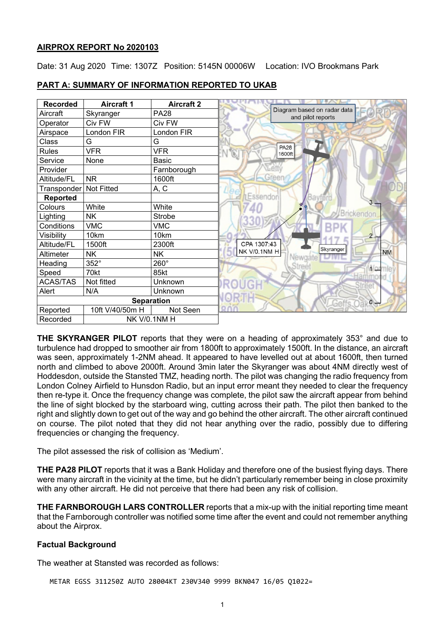#### **AIRPROX REPORT No 2020103**

Date: 31 Aug 2020 Time: 1307Z Position: 5145N 00006W Location: IVO Brookmans Park

| <b>Recorded</b>                 | <b>Aircraft 1</b> | <b>Aircraft 2</b> |                                                  |
|---------------------------------|-------------------|-------------------|--------------------------------------------------|
| Aircraft                        | Skyranger         | <b>PA28</b>       | Diagram based on radar data<br>and pilot reports |
| Operator                        | Civ FW            | Civ FW            |                                                  |
| Airspace                        | London FIR        | London FIR        |                                                  |
| Class                           | G                 | G                 |                                                  |
| <b>Rules</b>                    | <b>VFR</b>        | <b>VFR</b>        | <b>PA28</b><br>$\sqrt[3]{6}$<br>1600ft           |
| Service                         | None              | Basic             |                                                  |
| Provider                        |                   | Farnborough       |                                                  |
| Altitude/FL                     | <b>NR</b>         | 1600ft            | Green                                            |
| Transponder                     | <b>Not Fitted</b> | A, C              |                                                  |
| <b>Reported</b>                 |                   |                   | Essendor<br>3                                    |
| Colours                         | White             | White             |                                                  |
| Lighting                        | <b>NK</b>         | Strobe            | <b>Brickendon</b>                                |
| Conditions                      | <b>VMC</b>        | <b>VMC</b>        |                                                  |
| Visibility                      | 10km              | 10km              |                                                  |
| Altitude/FL                     | 1500ft            | 2300ft            | CPA 1307:43<br>Skyranger                         |
| Altimeter                       | <b>NK</b>         | <b>NK</b>         | NK V/0.1NM H<br><b>NM</b>                        |
| Heading                         | 352°              | 260°              |                                                  |
| Speed                           | 70kt              | 85kt              | Wormle                                           |
| <b>ACAS/TAS</b>                 | Not fitted        | Unknown           |                                                  |
| Alert                           | N/A               | Unknown           |                                                  |
| <b>Separation</b>               |                   |                   | $\circ$<br>16-01                                 |
| Reported                        | 10ft V/40/50m H   | Not Seen          |                                                  |
| <b>NK V/0.1NM H</b><br>Recorded |                   |                   |                                                  |

## **PART A: SUMMARY OF INFORMATION REPORTED TO UKAB**

**THE SKYRANGER PILOT** reports that they were on a heading of approximately 353° and due to turbulence had dropped to smoother air from 1800ft to approximately 1500ft. In the distance, an aircraft was seen, approximately 1-2NM ahead. It appeared to have levelled out at about 1600ft, then turned north and climbed to above 2000ft. Around 3min later the Skyranger was about 4NM directly west of Hoddesdon, outside the Stansted TMZ, heading north. The pilot was changing the radio frequency from London Colney Airfield to Hunsdon Radio, but an input error meant they needed to clear the frequency then re-type it. Once the frequency change was complete, the pilot saw the aircraft appear from behind the line of sight blocked by the starboard wing, cutting across their path. The pilot then banked to the right and slightly down to get out of the way and go behind the other aircraft. The other aircraft continued on course. The pilot noted that they did not hear anything over the radio, possibly due to differing frequencies or changing the frequency.

The pilot assessed the risk of collision as 'Medium'.

**THE PA28 PILOT** reports that it was a Bank Holiday and therefore one of the busiest flying days. There were many aircraft in the vicinity at the time, but he didn't particularly remember being in close proximity with any other aircraft. He did not perceive that there had been any risk of collision.

**THE FARNBOROUGH LARS CONTROLLER** reports that a mix-up with the initial reporting time meant that the Farnborough controller was notified some time after the event and could not remember anything about the Airprox.

## **Factual Background**

The weather at Stansted was recorded as follows:

METAR EGSS 311250Z AUTO 28004KT 230V340 9999 BKN047 16/05 Q1022=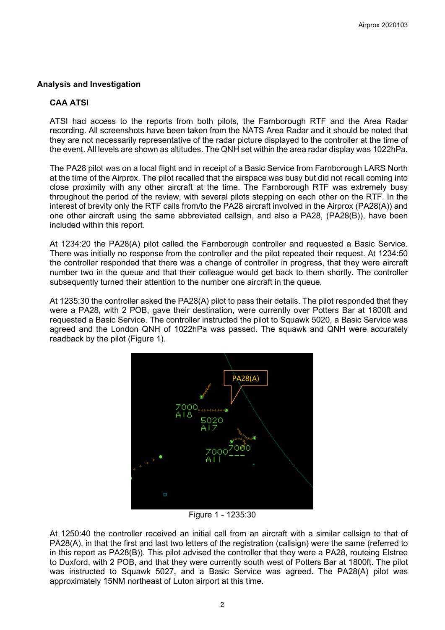## **Analysis and Investigation**

## **CAA ATSI**

ATSI had access to the reports from both pilots, the Farnborough RTF and the Area Radar recording. All screenshots have been taken from the NATS Area Radar and it should be noted that they are not necessarily representative of the radar picture displayed to the controller at the time of the event. All levels are shown as altitudes. The QNH set within the area radar display was 1022hPa.

The PA28 pilot was on a local flight and in receipt of a Basic Service from Farnborough LARS North at the time of the Airprox. The pilot recalled that the airspace was busy but did not recall coming into close proximity with any other aircraft at the time. The Farnborough RTF was extremely busy throughout the period of the review, with several pilots stepping on each other on the RTF. In the interest of brevity only the RTF calls from/to the PA28 aircraft involved in the Airprox (PA28(A)) and one other aircraft using the same abbreviated callsign, and also a PA28, (PA28(B)), have been included within this report.

At 1234:20 the PA28(A) pilot called the Farnborough controller and requested a Basic Service. There was initially no response from the controller and the pilot repeated their request. At 1234:50 the controller responded that there was a change of controller in progress, that they were aircraft number two in the queue and that their colleague would get back to them shortly. The controller subsequently turned their attention to the number one aircraft in the queue.

At 1235:30 the controller asked the PA28(A) pilot to pass their details. The pilot responded that they were a PA28, with 2 POB, gave their destination, were currently over Potters Bar at 1800ft and requested a Basic Service. The controller instructed the pilot to Squawk 5020, a Basic Service was agreed and the London QNH of 1022hPa was passed. The squawk and QNH were accurately readback by the pilot (Figure 1).



Figure 1 - 1235:30

At 1250:40 the controller received an initial call from an aircraft with a similar callsign to that of PA28(A), in that the first and last two letters of the registration (callsign) were the same (referred to in this report as PA28(B)). This pilot advised the controller that they were a PA28, routeing Elstree to Duxford, with 2 POB, and that they were currently south west of Potters Bar at 1800ft. The pilot was instructed to Squawk 5027, and a Basic Service was agreed. The PA28(A) pilot was approximately 15NM northeast of Luton airport at this time.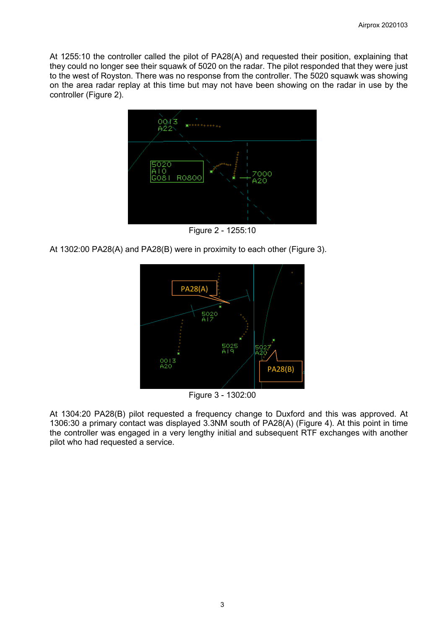At 1255:10 the controller called the pilot of PA28(A) and requested their position, explaining that they could no longer see their squawk of 5020 on the radar. The pilot responded that they were just to the west of Royston. There was no response from the controller. The 5020 squawk was showing on the area radar replay at this time but may not have been showing on the radar in use by the controller (Figure 2).



Figure 2 - 1255:10

At 1302:00 PA28(A) and PA28(B) were in proximity to each other (Figure 3).



Figure 3 - 1302:00

At 1304:20 PA28(B) pilot requested a frequency change to Duxford and this was approved. At 1306:30 a primary contact was displayed 3.3NM south of PA28(A) (Figure 4). At this point in time the controller was engaged in a very lengthy initial and subsequent RTF exchanges with another pilot who had requested a service.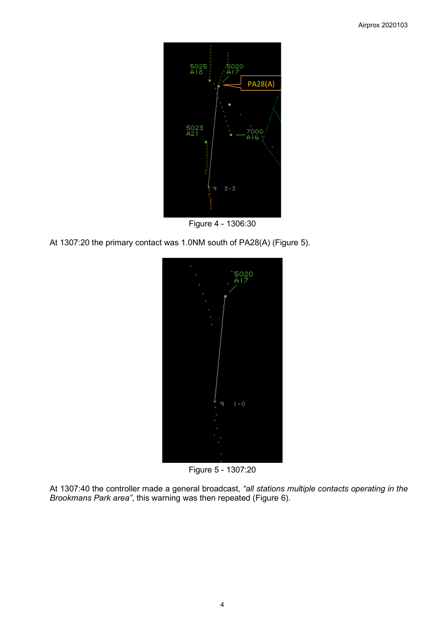

Figure 4 - 1306:30

At 1307:20 the primary contact was 1.0NM south of PA28(A) (Figure 5).



Figure 5 - 1307:20

At 1307:40 the controller made a general broadcast*, "all stations multiple contacts operating in the Brookmans Park area"*, this warning was then repeated (Figure 6).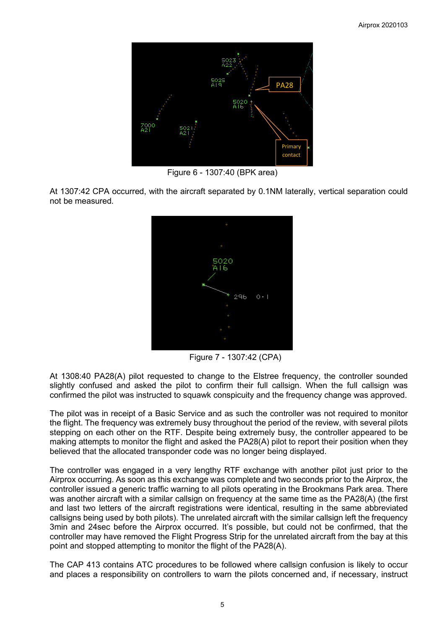

Figure 6 - 1307:40 (BPK area)

At 1307:42 CPA occurred, with the aircraft separated by 0.1NM laterally, vertical separation could not be measured.



Figure 7 - 1307:42 (CPA)

At 1308:40 PA28(A) pilot requested to change to the Elstree frequency, the controller sounded slightly confused and asked the pilot to confirm their full callsign. When the full callsign was confirmed the pilot was instructed to squawk conspicuity and the frequency change was approved.

The pilot was in receipt of a Basic Service and as such the controller was not required to monitor the flight. The frequency was extremely busy throughout the period of the review, with several pilots stepping on each other on the RTF. Despite being extremely busy, the controller appeared to be making attempts to monitor the flight and asked the PA28(A) pilot to report their position when they believed that the allocated transponder code was no longer being displayed.

The controller was engaged in a very lengthy RTF exchange with another pilot just prior to the Airprox occurring. As soon as this exchange was complete and two seconds prior to the Airprox, the controller issued a generic traffic warning to all pilots operating in the Brookmans Park area. There was another aircraft with a similar callsign on frequency at the same time as the PA28(A) (the first and last two letters of the aircraft registrations were identical, resulting in the same abbreviated callsigns being used by both pilots). The unrelated aircraft with the similar callsign left the frequency 3min and 24sec before the Airprox occurred. It's possible, but could not be confirmed, that the controller may have removed the Flight Progress Strip for the unrelated aircraft from the bay at this point and stopped attempting to monitor the flight of the PA28(A).

The CAP 413 contains ATC procedures to be followed where callsign confusion is likely to occur and places a responsibility on controllers to warn the pilots concerned and, if necessary, instruct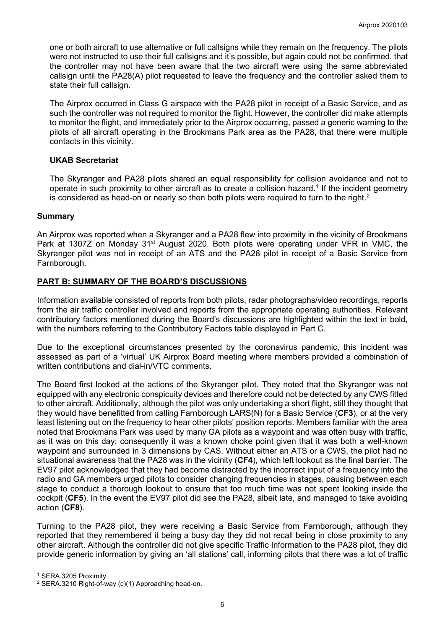one or both aircraft to use alternative or full callsigns while they remain on the frequency. The pilots were not instructed to use their full callsigns and it's possible, but again could not be confirmed, that the controller may not have been aware that the two aircraft were using the same abbreviated callsign until the PA28(A) pilot requested to leave the frequency and the controller asked them to state their full callsign.

The Airprox occurred in Class G airspace with the PA28 pilot in receipt of a Basic Service, and as such the controller was not required to monitor the flight. However, the controller did make attempts to monitor the flight, and immediately prior to the Airprox occurring, passed a generic warning to the pilots of all aircraft operating in the Brookmans Park area as the PA28, that there were multiple contacts in this vicinity.

## **UKAB Secretariat**

The Skyranger and PA28 pilots shared an equal responsibility for collision avoidance and not to operate in such proximity to other aircraft as to create a collision hazard. [1](#page-5-0) If the incident geometry is considered as head-on or nearly so then both pilots were required to turn to the right. $^{\rm 2}$  $^{\rm 2}$  $^{\rm 2}$ 

## **Summary**

An Airprox was reported when a Skyranger and a PA28 flew into proximity in the vicinity of Brookmans Park at 1307Z on Monday 31<sup>st</sup> August 2020. Both pilots were operating under VFR in VMC, the Skyranger pilot was not in receipt of an ATS and the PA28 pilot in receipt of a Basic Service from Farnborough.

# **PART B: SUMMARY OF THE BOARD'S DISCUSSIONS**

Information available consisted of reports from both pilots, radar photographs/video recordings, reports from the air traffic controller involved and reports from the appropriate operating authorities. Relevant contributory factors mentioned during the Board's discussions are highlighted within the text in bold, with the numbers referring to the Contributory Factors table displayed in Part C.

Due to the exceptional circumstances presented by the coronavirus pandemic, this incident was assessed as part of a 'virtual' UK Airprox Board meeting where members provided a combination of written contributions and dial-in/VTC comments.

The Board first looked at the actions of the Skyranger pilot. They noted that the Skyranger was not equipped with any electronic conspicuity devices and therefore could not be detected by any CWS fitted to other aircraft. Additionally, although the pilot was only undertaking a short flight, still they thought that they would have benefitted from calling Farnborough LARS(N) for a Basic Service (**CF3**), or at the very least listening out on the frequency to hear other pilots' position reports. Members familiar with the area noted that Brookmans Park was used by many GA pilots as a waypoint and was often busy with traffic, as it was on this day; consequently it was a known choke point given that it was both a well-known waypoint and surrounded in 3 dimensions by CAS. Without either an ATS or a CWS, the pilot had no situational awareness that the PA28 was in the vicinity (**CF4**), which left lookout as the final barrier. The EV97 pilot acknowledged that they had become distracted by the incorrect input of a frequency into the radio and GA members urged pilots to consider changing frequencies in stages, pausing between each stage to conduct a thorough lookout to ensure that too much time was not spent looking inside the cockpit (**CF5**). In the event the EV97 pilot did see the PA28, albeit late, and managed to take avoiding action (**CF8**).

Turning to the PA28 pilot, they were receiving a Basic Service from Farnborough, although they reported that they remembered it being a busy day they did not recall being in close proximity to any other aircraft. Although the controller did not give specific Traffic Information to the PA28 pilot, they did provide generic information by giving an 'all stations' call, informing pilots that there was a lot of traffic

<span id="page-5-0"></span><sup>1</sup> SERA.3205 Proximity..

<span id="page-5-1"></span><sup>2</sup> SERA.3210 Right-of-way (c)(1) Approaching head-on.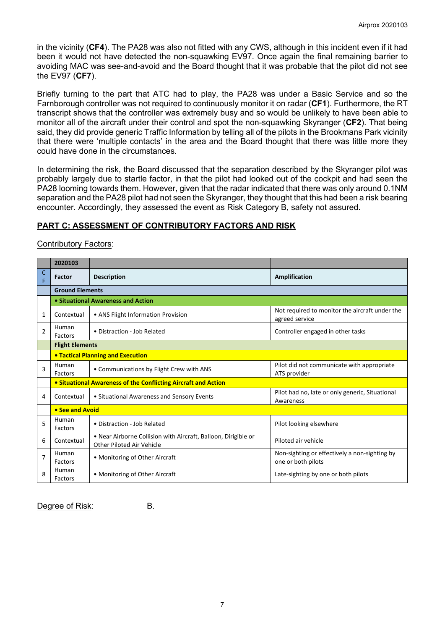in the vicinity (**CF4**). The PA28 was also not fitted with any CWS, although in this incident even if it had been it would not have detected the non-squawking EV97. Once again the final remaining barrier to avoiding MAC was see-and-avoid and the Board thought that it was probable that the pilot did not see the EV97 (**CF7**).

Briefly turning to the part that ATC had to play, the PA28 was under a Basic Service and so the Farnborough controller was not required to continuously monitor it on radar (**CF1**). Furthermore, the RT transcript shows that the controller was extremely busy and so would be unlikely to have been able to monitor all of the aircraft under their control and spot the non-squawking Skyranger (**CF2**). That being said, they did provide generic Traffic Information by telling all of the pilots in the Brookmans Park vicinity that there were 'multiple contacts' in the area and the Board thought that there was little more they could have done in the circumstances.

In determining the risk, the Board discussed that the separation described by the Skyranger pilot was probably largely due to startle factor, in that the pilot had looked out of the cockpit and had seen the PA28 looming towards them. However, given that the radar indicated that there was only around 0.1NM separation and the PA28 pilot had not seen the Skyranger, they thought that this had been a risk bearing encounter. Accordingly, they assessed the event as Risk Category B, safety not assured.

## **PART C: ASSESSMENT OF CONTRIBUTORY FACTORS AND RISK**

#### Contributory Factors:

|                | 2020103                 |                                                                                             |                                                                     |  |  |  |  |  |  |  |
|----------------|-------------------------|---------------------------------------------------------------------------------------------|---------------------------------------------------------------------|--|--|--|--|--|--|--|
| C<br>F         | Factor                  | <b>Description</b>                                                                          | Amplification                                                       |  |  |  |  |  |  |  |
|                |                         | <b>Ground Elements</b>                                                                      |                                                                     |  |  |  |  |  |  |  |
|                |                         | • Situational Awareness and Action                                                          |                                                                     |  |  |  |  |  |  |  |
| 1              | Contextual              | • ANS Flight Information Provision                                                          | Not required to monitor the aircraft under the<br>agreed service    |  |  |  |  |  |  |  |
| $\overline{2}$ | Human<br>Factors        | • Distraction - Job Related                                                                 | Controller engaged in other tasks                                   |  |  |  |  |  |  |  |
|                |                         | <b>Flight Elements</b>                                                                      |                                                                     |  |  |  |  |  |  |  |
|                |                         | <b>. Tactical Planning and Execution</b>                                                    |                                                                     |  |  |  |  |  |  |  |
| $\overline{3}$ | Human<br>Factors        | • Communications by Flight Crew with ANS                                                    | Pilot did not communicate with appropriate<br>ATS provider          |  |  |  |  |  |  |  |
|                |                         | • Situational Awareness of the Conflicting Aircraft and Action                              |                                                                     |  |  |  |  |  |  |  |
| 4              | Contextual              | • Situational Awareness and Sensory Events                                                  | Pilot had no, late or only generic, Situational<br>Awareness        |  |  |  |  |  |  |  |
|                | • See and Avoid         |                                                                                             |                                                                     |  |  |  |  |  |  |  |
| 5              | Human<br><b>Factors</b> | • Distraction - Job Related                                                                 | Pilot looking elsewhere                                             |  |  |  |  |  |  |  |
| 6              | Contextual              | . Near Airborne Collision with Aircraft, Balloon, Dirigible or<br>Other Piloted Air Vehicle | Piloted air vehicle                                                 |  |  |  |  |  |  |  |
| $\overline{7}$ | Human<br>Factors        | • Monitoring of Other Aircraft                                                              | Non-sighting or effectively a non-sighting by<br>one or both pilots |  |  |  |  |  |  |  |
| 8              | Human<br>Factors        | • Monitoring of Other Aircraft                                                              | Late-sighting by one or both pilots                                 |  |  |  |  |  |  |  |

Degree of Risk: B.